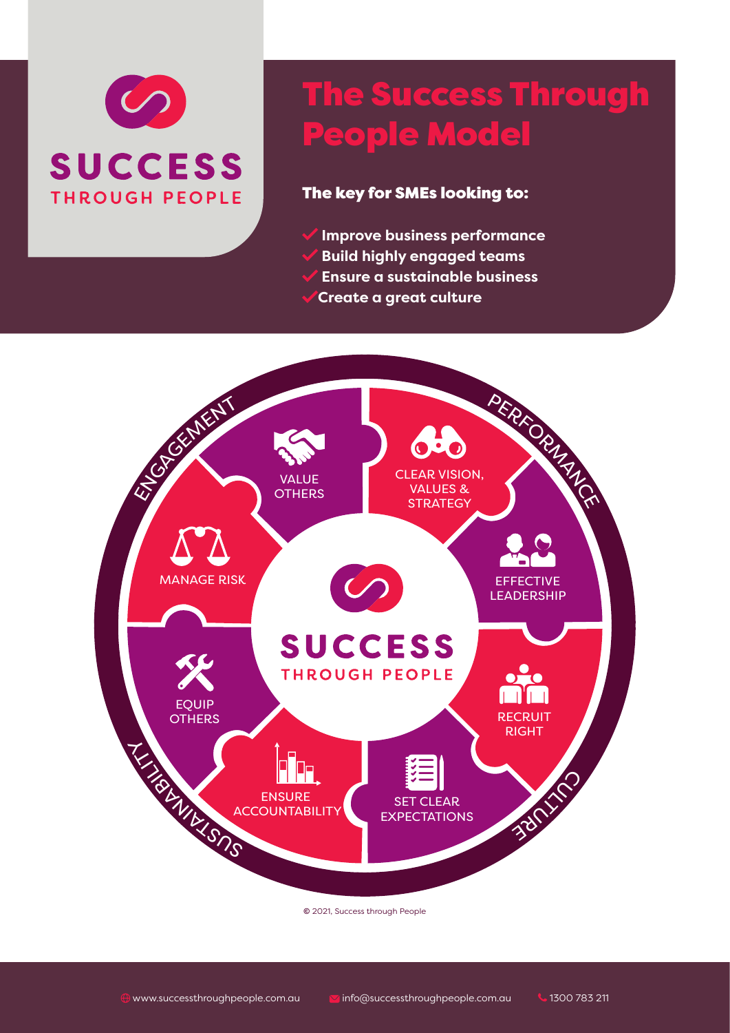

# The Success Through People Model

### The key for SMEs looking to:

- **Improve business performance**
- **Build highly engaged teams**
- **Ensure a sustainable business**
- **Create a great culture**



**©** 2021, Success through People